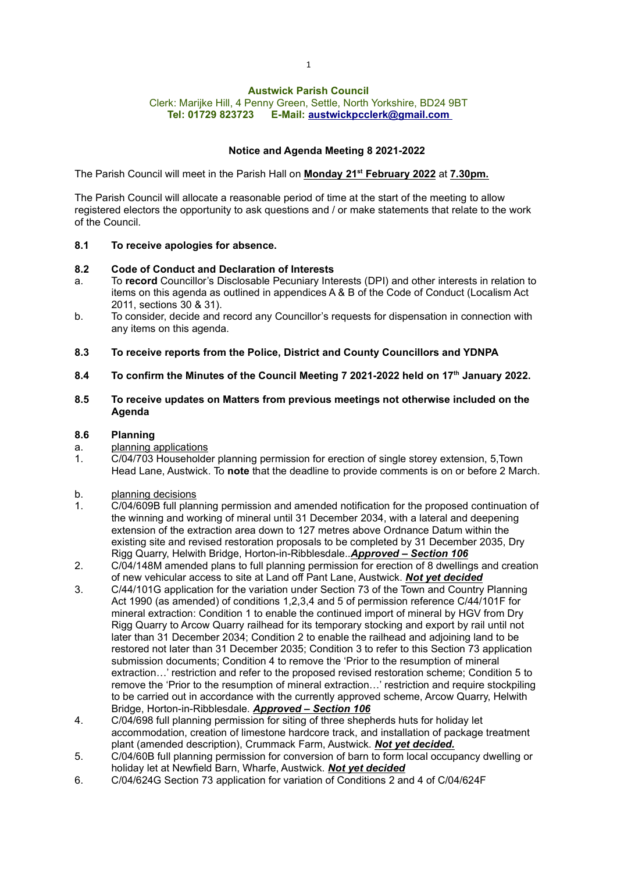# Austwick Parish Council

Clerk: Marijke Hill, 4 Penny Green, Settle, North Yorkshire, BD24 9BT Tel: 01729 823723 E-Mail: austwickpcclerk@gmail.com

# Notice and Agenda Meeting 8 2021-2022

The Parish Council will meet in the Parish Hall on <u>Monday 21<sup>st</sup> February 2022</u> at <u>7.30pm.</u>

The Parish Council will allocate a reasonable period of time at the start of the meeting to allow registered electors the opportunity to ask questions and / or make statements that relate to the work of the Council.

### 8.1 To receive apologies for absence.

### 8.2 Code of Conduct and Declaration of Interests

- a. To record Councillor's Disclosable Pecuniary Interests (DPI) and other interests in relation to items on this agenda as outlined in appendices A & B of the Code of Conduct (Localism Act 2011, sections 30 & 31).
- b. To consider, decide and record any Councillor's requests for dispensation in connection with any items on this agenda.
- 8.3 To receive reports from the Police, District and County Councillors and YDNPA
- 8.4 To confirm the Minutes of the Council Meeting 7 2021-2022 held on 17<sup>th</sup> January 2022.

#### 8.5 To receive updates on Matters from previous meetings not otherwise included on the Agenda

### 8.6 Planning

- a. planning applications
- 1. C/04/703 Householder planning permission for erection of single storey extension, 5,Town Head Lane, Austwick. To note that the deadline to provide comments is on or before 2 March.
- b. planning decisions
- 1. C/04/609B full planning permission and amended notification for the proposed continuation of the winning and working of mineral until 31 December 2034, with a lateral and deepening extension of the extraction area down to 127 metres above Ordnance Datum within the existing site and revised restoration proposals to be completed by 31 December 2035, Dry Rigg Quarry, Helwith Bridge, Horton-in-Ribblesdale..**Approved - Section 106**
- 2. C/04/148M amended plans to full planning permission for erection of 8 dwellings and creation of new vehicular access to site at Land off Pant Lane, Austwick. Not yet decided
- 3. C/44/101G application for the variation under Section 73 of the Town and Country Planning Act 1990 (as amended) of conditions 1,2,3,4 and 5 of permission reference C/44/101F for mineral extraction: Condition 1 to enable the continued import of mineral by HGV from Dry Rigg Quarry to Arcow Quarry railhead for its temporary stocking and export by rail until not later than 31 December 2034; Condition 2 to enable the railhead and adjoining land to be restored not later than 31 December 2035; Condition 3 to refer to this Section 73 application submission documents; Condition 4 to remove the 'Prior to the resumption of mineral extraction…' restriction and refer to the proposed revised restoration scheme; Condition 5 to remove the 'Prior to the resumption of mineral extraction…' restriction and require stockpiling to be carried out in accordance with the currently approved scheme, Arcow Quarry, Helwith Bridge, Horton-in-Ribblesdale. Approved – Section 106
- 4. C/04/698 full planning permission for siting of three shepherds huts for holiday let accommodation, creation of limestone hardcore track, and installation of package treatment plant (amended description), Crummack Farm, Austwick. Not vet decided.
- 5. C/04/60B full planning permission for conversion of barn to form local occupancy dwelling or holiday let at Newfield Barn, Wharfe, Austwick. Not yet decided
- 6. C/04/624G Section 73 application for variation of Conditions 2 and 4 of C/04/624F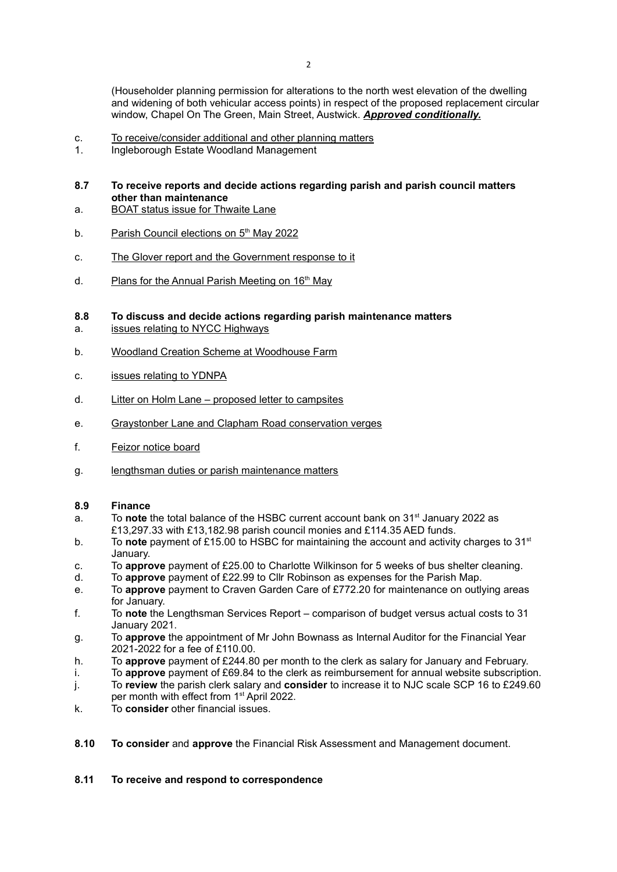(Householder planning permission for alterations to the north west elevation of the dwelling and widening of both vehicular access points) in respect of the proposed replacement circular window, Chapel On The Green, Main Street, Austwick. Approved conditionally.

- c. To receive/consider additional and other planning matters
- 1. Ingleborough Estate Woodland Management
- 8.7 To receive reports and decide actions regarding parish and parish council matters other than maintenance
- a. BOAT status issue for Thwaite Lane
- b. Parish Council elections on 5<sup>th</sup> May 2022
- c. The Glover report and the Government response to it
- d. Plans for the Annual Parish Meeting on 16<sup>th</sup> May

# 8.8 To discuss and decide actions regarding parish maintenance matters

- a. issues relating to NYCC Highways
- b. Woodland Creation Scheme at Woodhouse Farm
- c. issues relating to YDNPA
- d. Litter on Holm Lane proposed letter to campsites
- e. Graystonber Lane and Clapham Road conservation verges
- f. Feizor notice board
- g. lengthsman duties or parish maintenance matters

### 8.9 Finance

- a. To note the total balance of the HSBC current account bank on  $31<sup>st</sup>$  January 2022 as £13,297.33 with £13,182.98 parish council monies and £114.35 AED funds.
- b. To note payment of £15.00 to HSBC for maintaining the account and activity charges to 31<sup>st</sup> January.
- c. To approve payment of £25.00 to Charlotte Wilkinson for 5 weeks of bus shelter cleaning.
- d. To approve payment of £22.99 to Cllr Robinson as expenses for the Parish Map.
- e. To approve payment to Craven Garden Care of £772.20 for maintenance on outlying areas for January.
- f. To note the Lengthsman Services Report comparison of budget versus actual costs to 31 January 2021.
- g. To approve the appointment of Mr John Bownass as Internal Auditor for the Financial Year 2021-2022 for a fee of £110.00.
- h. To approve payment of £244.80 per month to the clerk as salary for January and February.
- i. To approve payment of  $£69.84$  to the clerk as reimbursement for annual website subscription.
- j. To review the parish clerk salary and consider to increase it to NJC scale SCP 16 to £249.60 per month with effect from 1<sup>st</sup> April 2022.
- k. To consider other financial issues.
- 8.10 To consider and approve the Financial Risk Assessment and Management document.

### 8.11 To receive and respond to correspondence